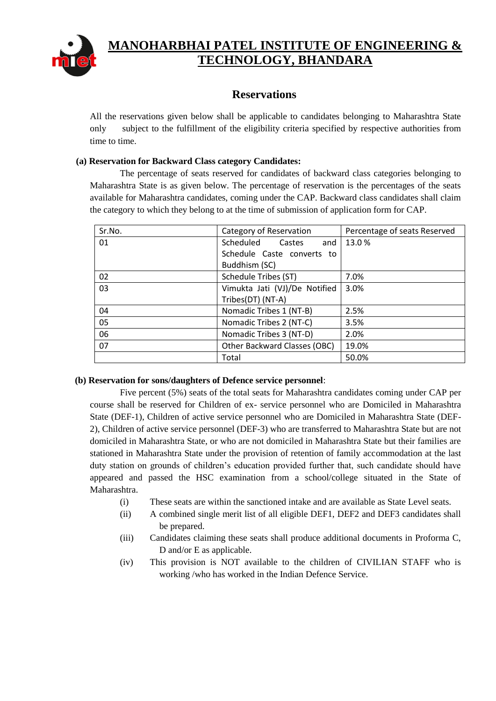

# **MANOHARBHAI PATEL INSTITUTE OF ENGINEERING & TECHNOLOGY, BHANDARA**

## **Reservations**

All the reservations given below shall be applicable to candidates belonging to Maharashtra State only subject to the fulfillment of the eligibility criteria specified by respective authorities from time to time.

### **(a) Reservation for Backward Class category Candidates:**

The percentage of seats reserved for candidates of backward class categories belonging to Maharashtra State is as given below. The percentage of reservation is the percentages of the seats available for Maharashtra candidates, coming under the CAP. Backward class candidates shall claim the category to which they belong to at the time of submission of application form for CAP.

| Sr.No. | Category of Reservation       | Percentage of seats Reserved |
|--------|-------------------------------|------------------------------|
| 01     | Scheduled<br>Castes<br>and    | 13.0%                        |
|        | Schedule Caste converts to    |                              |
|        | Buddhism (SC)                 |                              |
| 02     | Schedule Tribes (ST)          | 7.0%                         |
| 03     | Vimukta Jati (VJ)/De Notified | 3.0%                         |
|        | Tribes(DT) (NT-A)             |                              |
| 04     | Nomadic Tribes 1 (NT-B)       | 2.5%                         |
| 05     | Nomadic Tribes 2 (NT-C)       | 3.5%                         |
| 06     | Nomadic Tribes 3 (NT-D)       | 2.0%                         |
| 07     | Other Backward Classes (OBC)  | 19.0%                        |
|        | Total                         | 50.0%                        |

#### **(b) Reservation for sons/daughters of Defence service personnel**:

Five percent (5%) seats of the total seats for Maharashtra candidates coming under CAP per course shall be reserved for Children of ex- service personnel who are Domiciled in Maharashtra State (DEF-1), Children of active service personnel who are Domiciled in Maharashtra State (DEF-2), Children of active service personnel (DEF-3) who are transferred to Maharashtra State but are not domiciled in Maharashtra State, or who are not domiciled in Maharashtra State but their families are stationed in Maharashtra State under the provision of retention of family accommodation at the last duty station on grounds of children's education provided further that, such candidate should have appeared and passed the HSC examination from a school/college situated in the State of Maharashtra.

- (i) These seats are within the sanctioned intake and are available as State Level seats.
- (ii) A combined single merit list of all eligible DEF1, DEF2 and DEF3 candidates shall be prepared.
- (iii) Candidates claiming these seats shall produce additional documents in Proforma C, D and/or E as applicable.
- (iv) This provision is NOT available to the children of CIVILIAN STAFF who is working /who has worked in the Indian Defence Service.